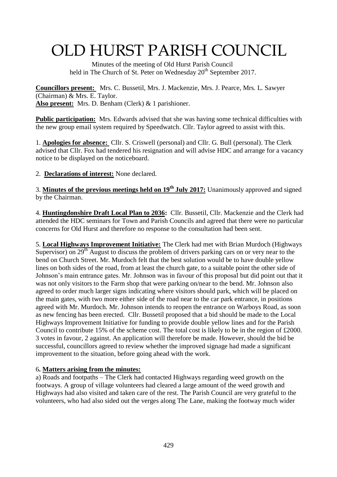# OLD HURST PARISH COUNCIL

 Minutes of the meeting of Old Hurst Parish Council held in The Church of St. Peter on Wednesday 20<sup>th</sup> September 2017.

**Councillors present:** Mrs. C. Bussetil, Mrs. J. Mackenzie, Mrs. J. Pearce, Mrs. L. Sawyer (Chairman) & Mrs. E. Taylor. **Also present:** Mrs. D. Benham (Clerk) & 1 parishioner.

**Public participation:** Mrs. Edwards advised that she was having some technical difficulties with the new group email system required by Speedwatch. Cllr. Taylor agreed to assist with this.

1. **Apologies for absence:** Cllr. S. Criswell (personal) and Cllr. G. Bull (personal). The Clerk advised that Cllr. Fox had tendered his resignation and will advise HDC and arrange for a vacancy notice to be displayed on the noticeboard.

2. **Declarations of interest:** None declared.

3. **Minutes of the previous meetings held on 19 th July 2017:** Unanimously approved and signed by the Chairman.

4. **Huntingdonshire Draft Local Plan to 2036:** Cllr. Bussetil, Cllr. Mackenzie and the Clerk had attended the HDC seminars for Town and Parish Councils and agreed that there were no particular concerns for Old Hurst and therefore no response to the consultation had been sent.

5. **Local Highways Improvement Initiative:** The Clerk had met with Brian Murdoch (Highways Supervisor) on  $29<sup>th</sup>$  August to discuss the problem of drivers parking cars on or very near to the bend on Church Street. Mr. Murdoch felt that the best solution would be to have double yellow lines on both sides of the road, from at least the church gate, to a suitable point the other side of Johnson's main entrance gates. Mr. Johnson was in favour of this proposal but did point out that it was not only visitors to the Farm shop that were parking on/near to the bend. Mr. Johnson also agreed to order much larger signs indicating where visitors should park, which will be placed on the main gates, with two more either side of the road near to the car park entrance, in positions agreed with Mr. Murdoch. Mr. Johnson intends to reopen the entrance on Warboys Road, as soon as new fencing has been erected. Cllr. Bussetil proposed that a bid should be made to the Local Highways Improvement Initiative for funding to provide double yellow lines and for the Parish Council to contribute 15% of the scheme cost. The total cost is likely to be in the region of £2000. 3 votes in favour, 2 against. An application will therefore be made. However, should the bid be successful, councillors agreed to review whether the improved signage had made a significant improvement to the situation, before going ahead with the work.

#### 6**. Matters arising from the minutes:**

a) Roads and footpaths – The Clerk had contacted Highways regarding weed growth on the footways. A group of village volunteers had cleared a large amount of the weed growth and Highways had also visited and taken care of the rest. The Parish Council are very grateful to the volunteers, who had also sided out the verges along The Lane, making the footway much wider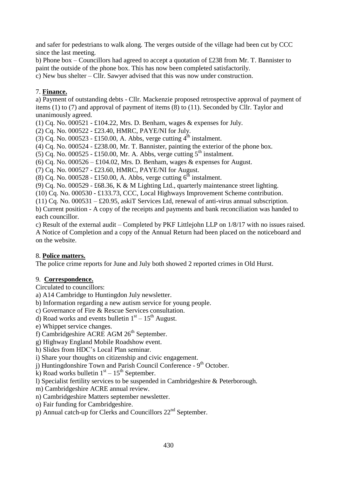and safer for pedestrians to walk along. The verges outside of the village had been cut by CCC since the last meeting.

b) Phone box – Councillors had agreed to accept a quotation of £238 from Mr. T. Bannister to paint the outside of the phone box. This has now been completed satisfactorily.

c) New bus shelter – Cllr. Sawyer advised that this was now under construction.

#### 7. **Finance.**

a) Payment of outstanding debts - Cllr. Mackenzie proposed retrospective approval of payment of items (1) to (7) and approval of payment of items (8) to (11). Seconded by Cllr. Taylor and unanimously agreed.

(1) Cq. No. 000521 - £104.22, Mrs. D. Benham, wages & expenses for July.

(2) Cq. No. 000522 - £23.40, HMRC, PAYE/NI for July.

 $(3)$  Cq. No. 000523 - £150.00, A. Abbs, verge cutting  $4^{\text{th}}$  instalment.

 $(4)$  Cq. No. 000524 - £238.00, Mr. T. Bannister, painting the exterior of the phone box.

(5) Cq. No. 000525 - £150.00, Mr. A. Abbs, verge cutting  $5<sup>th</sup>$  instalment.

(6) Cq. No.  $0.00526 - £104.02$ , Mrs. D. Benham, wages & expenses for August.

(7) Cq. No. 000527 - £23.60, HMRC, PAYE/NI for August.

 $(8)$  Cq. No. 000528 - £150.00, A. Abbs, verge cutting  $6^{\text{th}}$  instalment.

(9) Cq. No. 000529 - £68.36, K & M Lighting Ltd., quarterly maintenance street lighting.

(10) Cq. No. 000530 - £133.73, CCC, Local Highways Improvement Scheme contribution.

(11) Cq. No. 000531 – £20.95, askiT Services Ltd, renewal of anti-virus annual subscription.

b) Current position - A copy of the receipts and payments and bank reconciliation was handed to each councillor.

c) Result of the external audit – Completed by PKF Littlejohn LLP on 1/8/17 with no issues raised. A Notice of Completion and a copy of the Annual Return had been placed on the noticeboard and on the website.

## 8. **Police matters.**

The police crime reports for June and July both showed 2 reported crimes in Old Hurst.

## 9. **Correspondence.**

Circulated to councillors:

- a) A14 Cambridge to Huntingdon July newsletter.
- b) Information regarding a new autism service for young people.
- c) Governance of Fire & Rescue Services consultation.
- d) Road works and events bulletin  $1<sup>st</sup> 15<sup>th</sup>$  August.
- e) Whippet service changes.
- f) Cambridgeshire ACRE AGM  $26<sup>th</sup>$  September.
- g) Highway England Mobile Roadshow event.
- h) Slides from HDC's Local Plan seminar.
- i) Share your thoughts on citizenship and civic engagement.
- j) Huntingdonshire Town and Parish Council Conference 9<sup>th</sup> October.
- k) Road works bulletin  $1<sup>st</sup> 15<sup>th</sup>$  September.
- l) Specialist fertility services to be suspended in Cambridgeshire & Peterborough.
- m) Cambridgeshire ACRE annual review.
- n) Cambridgeshire Matters september newsletter.
- o) Fair funding for Cambridgeshire.
- p) Annual catch-up for Clerks and Councillors  $22^{nd}$  September.